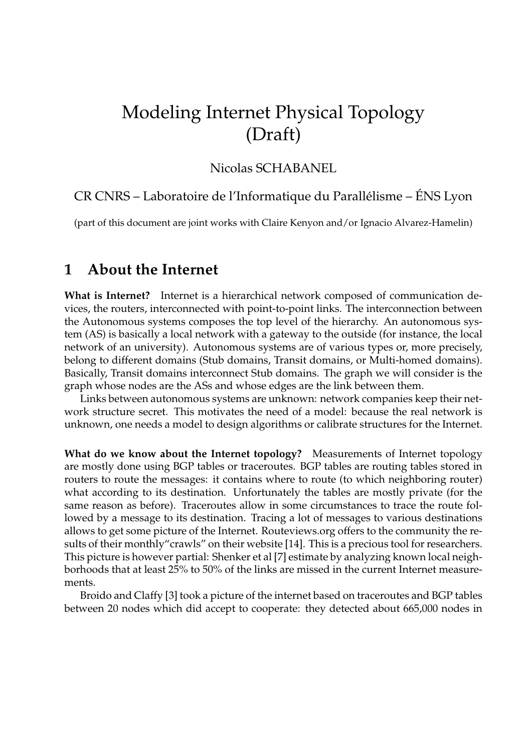# Modeling Internet Physical Topology (Draft)

#### Nicolas SCHABANEL

#### CR CNRS – Laboratoire de l'Informatique du Parallélisme – ÉNS Lyon

(part of this document are joint works with Claire Kenyon and/or Ignacio Alvarez-Hamelin)

## **1 About the Internet**

**What is Internet?** Internet is a hierarchical network composed of communication devices, the routers, interconnected with point-to-point links. The interconnection between the Autonomous systems composes the top level of the hierarchy. An autonomous system (AS) is basically a local network with a gateway to the outside (for instance, the local network of an university). Autonomous systems are of various types or, more precisely, belong to different domains (Stub domains, Transit domains, or Multi-homed domains). Basically, Transit domains interconnect Stub domains. The graph we will consider is the graph whose nodes are the ASs and whose edges are the link between them.

Links between autonomous systems are unknown: network companies keep their network structure secret. This motivates the need of a model: because the real network is unknown, one needs a model to design algorithms or calibrate structures for the Internet.

**What do we know about the Internet topology?** Measurements of Internet topology are mostly done using BGP tables or traceroutes. BGP tables are routing tables stored in routers to route the messages: it contains where to route (to which neighboring router) what according to its destination. Unfortunately the tables are mostly private (for the same reason as before). Traceroutes allow in some circumstances to trace the route followed by a message to its destination. Tracing a lot of messages to various destinations allows to get some picture of the Internet. Routeviews.org offers to the community the results of their monthly"crawls" on their website [14]. This is a precious tool for researchers. This picture is however partial: Shenker et al [7] estimate by analyzing known local neighborhoods that at least 25% to 50% of the links are missed in the current Internet measurements.

Broido and Claffy [3] took a picture of the internet based on traceroutes and BGP tables between 20 nodes which did accept to cooperate: they detected about 665,000 nodes in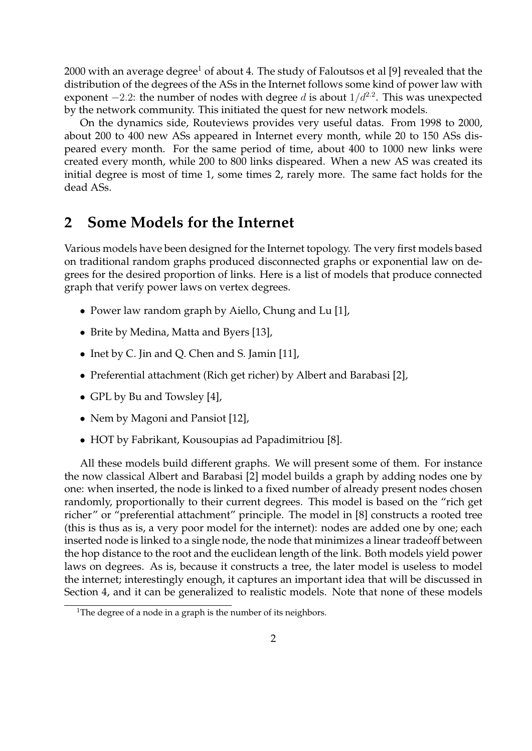2000 with an average degree<sup>1</sup> of about 4. The study of Faloutsos et al [9] revealed that the distribution of the degrees of the ASs in the Internet follows some kind of power law with exponent  $-2.2$ : the number of nodes with degree d is about  $1/d^{2.2}$ . This was unexpected by the network community. This initiated the quest for new network models.

On the dynamics side, Routeviews provides very useful datas. From 1998 to 2000, about 200 to 400 new ASs appeared in Internet every month, while 20 to 150 ASs dispeared every month. For the same period of time, about 400 to 1000 new links were created every month, while 200 to 800 links dispeared. When a new AS was created its initial degree is most of time 1, some times 2, rarely more. The same fact holds for the dead ASs.

#### **2 Some Models for the Internet**

Various models have been designed for the Internet topology. The very first models based on traditional random graphs produced disconnected graphs or exponential law on degrees for the desired proportion of links. Here is a list of models that produce connected graph that verify power laws on vertex degrees.

- Power law random graph by Aiello, Chung and Lu [1],
- Brite by Medina, Matta and Byers [13],
- Inet by C. Jin and Q. Chen and S. Jamin [11],
- Preferential attachment (Rich get richer) by Albert and Barabasi [2],
- GPL by Bu and Towsley [4],
- Nem by Magoni and Pansiot [12],
- HOT by Fabrikant, Kousoupias ad Papadimitriou [8].

All these models build different graphs. We will present some of them. For instance the now classical Albert and Barabasi [2] model builds a graph by adding nodes one by one: when inserted, the node is linked to a fixed number of already present nodes chosen randomly, proportionally to their current degrees. This model is based on the "rich get richer" or "preferential attachment" principle. The model in [8] constructs a rooted tree (this is thus as is, a very poor model for the internet): nodes are added one by one; each inserted node is linked to a single node, the node that minimizes a linear tradeoff between the hop distance to the root and the euclidean length of the link. Both models yield power laws on degrees. As is, because it constructs a tree, the later model is useless to model the internet; interestingly enough, it captures an important idea that will be discussed in Section 4, and it can be generalized to realistic models. Note that none of these models

<sup>&</sup>lt;sup>1</sup>The degree of a node in a graph is the number of its neighbors.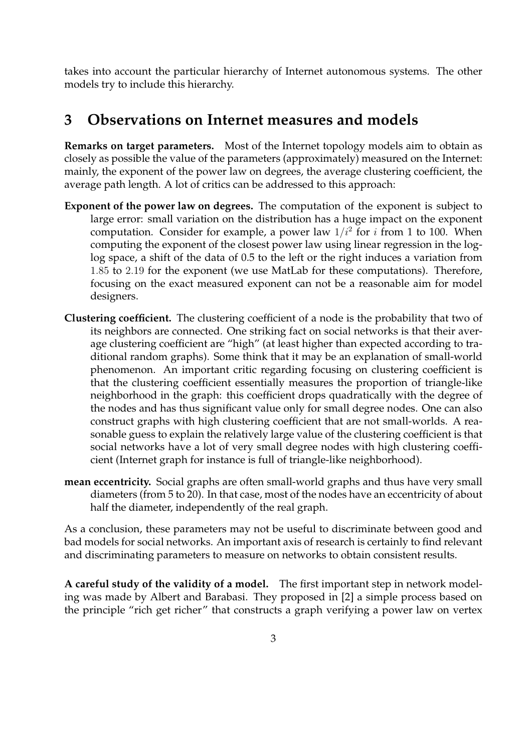takes into account the particular hierarchy of Internet autonomous systems. The other models try to include this hierarchy.

# **3 Observations on Internet measures and models**

**Remarks on target parameters.** Most of the Internet topology models aim to obtain as closely as possible the value of the parameters (approximately) measured on the Internet: mainly, the exponent of the power law on degrees, the average clustering coefficient, the average path length. A lot of critics can be addressed to this approach:

- **Exponent of the power law on degrees.** The computation of the exponent is subject to large error: small variation on the distribution has a huge impact on the exponent computation. Consider for example, a power law  $1/i^2$  for i from 1 to 100. When computing the exponent of the closest power law using linear regression in the loglog space, a shift of the data of 0.5 to the left or the right induces a variation from 1.85 to 2.19 for the exponent (we use MatLab for these computations). Therefore, focusing on the exact measured exponent can not be a reasonable aim for model designers.
- **Clustering coefficient.** The clustering coefficient of a node is the probability that two of its neighbors are connected. One striking fact on social networks is that their average clustering coefficient are "high" (at least higher than expected according to traditional random graphs). Some think that it may be an explanation of small-world phenomenon. An important critic regarding focusing on clustering coefficient is that the clustering coefficient essentially measures the proportion of triangle-like neighborhood in the graph: this coefficient drops quadratically with the degree of the nodes and has thus significant value only for small degree nodes. One can also construct graphs with high clustering coefficient that are not small-worlds. A reasonable guess to explain the relatively large value of the clustering coefficient is that social networks have a lot of very small degree nodes with high clustering coefficient (Internet graph for instance is full of triangle-like neighborhood).
- **mean eccentricity.** Social graphs are often small-world graphs and thus have very small diameters (from 5 to 20). In that case, most of the nodes have an eccentricity of about half the diameter, independently of the real graph.

As a conclusion, these parameters may not be useful to discriminate between good and bad models for social networks. An important axis of research is certainly to find relevant and discriminating parameters to measure on networks to obtain consistent results.

**A careful study of the validity of a model.** The first important step in network modeling was made by Albert and Barabasi. They proposed in [2] a simple process based on the principle "rich get richer" that constructs a graph verifying a power law on vertex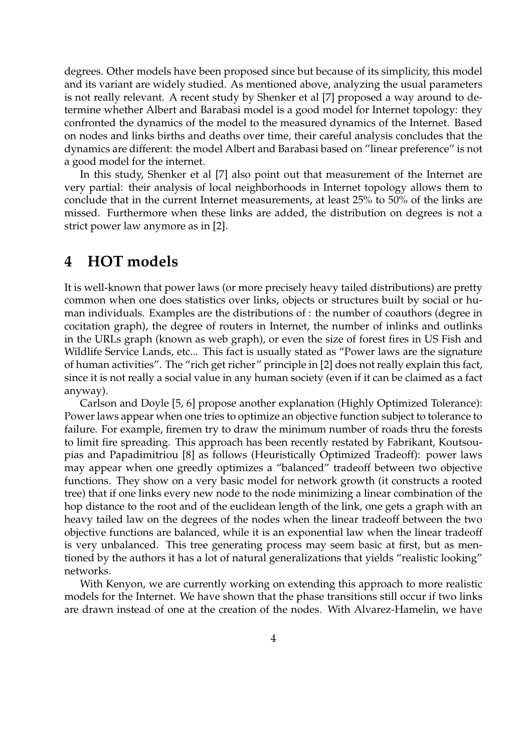degrees. Other models have been proposed since but because of its simplicity, this model and its variant are widely studied. As mentioned above, analyzing the usual parameters is not really relevant. A recent study by Shenker et al [7] proposed a way around to determine whether Albert and Barabasi model is a good model for Internet topology: they confronted the dynamics of the model to the measured dynamics of the Internet. Based on nodes and links births and deaths over time, their careful analysis concludes that the dynamics are different: the model Albert and Barabasi based on "linear preference" is not a good model for the internet.

In this study, Shenker et al [7] also point out that measurement of the Internet are very partial: their analysis of local neighborhoods in Internet topology allows them to conclude that in the current Internet measurements, at least 25% to 50% of the links are missed. Furthermore when these links are added, the distribution on degrees is not a strict power law anymore as in [2].

## **4 HOT models**

It is well-known that power laws (or more precisely heavy tailed distributions) are pretty common when one does statistics over links, objects or structures built by social or human individuals. Examples are the distributions of : the number of coauthors (degree in cocitation graph), the degree of routers in Internet, the number of inlinks and outlinks in the URLs graph (known as web graph), or even the size of forest fires in US Fish and Wildlife Service Lands, etc... This fact is usually stated as "Power laws are the signature of human activities". The "rich get richer" principle in [2] does not really explain this fact, since it is not really a social value in any human society (even if it can be claimed as a fact anyway).

Carlson and Doyle [5, 6] propose another explanation (Highly Optimized Tolerance): Power laws appear when one tries to optimize an objective function subject to tolerance to failure. For example, firemen try to draw the minimum number of roads thru the forests to limit fire spreading. This approach has been recently restated by Fabrikant, Koutsoupias and Papadimitriou [8] as follows (Heuristically Optimized Tradeoff): power laws may appear when one greedly optimizes a "balanced" tradeoff between two objective functions. They show on a very basic model for network growth (it constructs a rooted tree) that if one links every new node to the node minimizing a linear combination of the hop distance to the root and of the euclidean length of the link, one gets a graph with an heavy tailed law on the degrees of the nodes when the linear tradeoff between the two objective functions are balanced, while it is an exponential law when the linear tradeoff is very unbalanced. This tree generating process may seem basic at first, but as mentioned by the authors it has a lot of natural generalizations that yields "realistic looking" networks.

With Kenyon, we are currently working on extending this approach to more realistic models for the Internet. We have shown that the phase transitions still occur if two links are drawn instead of one at the creation of the nodes. With Alvarez-Hamelin, we have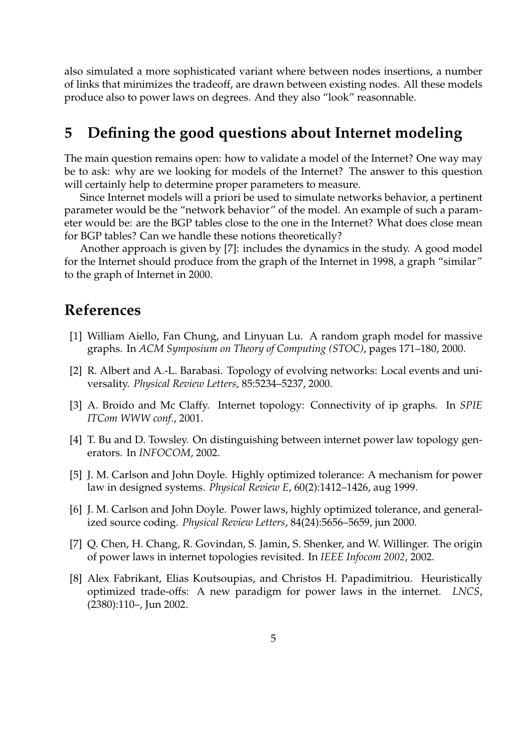also simulated a more sophisticated variant where between nodes insertions, a number of links that minimizes the tradeoff, are drawn between existing nodes. All these models produce also to power laws on degrees. And they also "look" reasonnable.

# **5 Defining the good questions about Internet modeling**

The main question remains open: how to validate a model of the Internet? One way may be to ask: why are we looking for models of the Internet? The answer to this question will certainly help to determine proper parameters to measure.

Since Internet models will a priori be used to simulate networks behavior, a pertinent parameter would be the "network behavior" of the model. An example of such a parameter would be: are the BGP tables close to the one in the Internet? What does close mean for BGP tables? Can we handle these notions theoretically?

Another approach is given by [7]: includes the dynamics in the study. A good model for the Internet should produce from the graph of the Internet in 1998, a graph "similar" to the graph of Internet in 2000.

# **References**

- [1] William Aiello, Fan Chung, and Linyuan Lu. A random graph model for massive graphs. In *ACM Symposium on Theory of Computing (STOC)*, pages 171–180, 2000.
- [2] R. Albert and A.-L. Barabasi. Topology of evolving networks: Local events and universality. *Physical Review Letters*, 85:5234–5237, 2000.
- [3] A. Broido and Mc Claffy. Internet topology: Connectivity of ip graphs. In *SPIE ITCom WWW conf.*, 2001.
- [4] T. Bu and D. Towsley. On distinguishing between internet power law topology generators. In *INFOCOM*, 2002.
- [5] J. M. Carlson and John Doyle. Highly optimized tolerance: A mechanism for power law in designed systems. *Physical Review E*, 60(2):1412–1426, aug 1999.
- [6] J. M. Carlson and John Doyle. Power laws, highly optimized tolerance, and generalized source coding. *Physical Review Letters*, 84(24):5656–5659, jun 2000.
- [7] Q. Chen, H. Chang, R. Govindan, S. Jamin, S. Shenker, and W. Willinger. The origin of power laws in internet topologies revisited. In *IEEE Infocom 2002*, 2002.
- [8] Alex Fabrikant, Elias Koutsoupias, and Christos H. Papadimitriou. Heuristically optimized trade-offs: A new paradigm for power laws in the internet. *LNCS*, (2380):110–, Jun 2002.